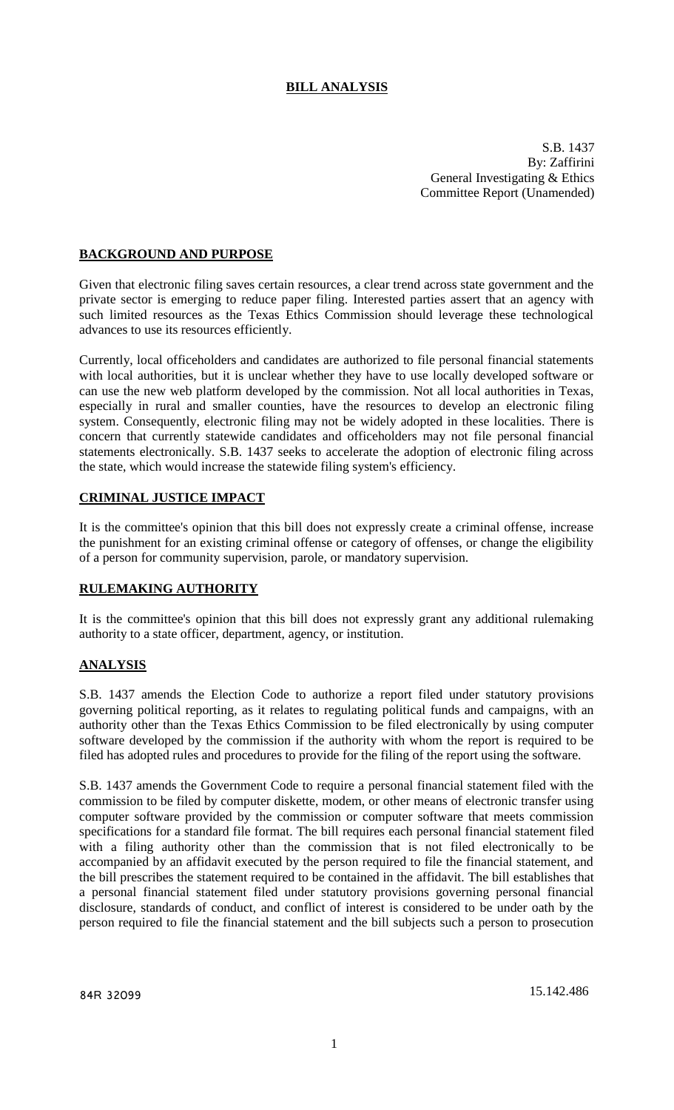# **BILL ANALYSIS**

S.B. 1437 By: Zaffirini General Investigating & Ethics Committee Report (Unamended)

## **BACKGROUND AND PURPOSE**

Given that electronic filing saves certain resources, a clear trend across state government and the private sector is emerging to reduce paper filing. Interested parties assert that an agency with such limited resources as the Texas Ethics Commission should leverage these technological advances to use its resources efficiently.

Currently, local officeholders and candidates are authorized to file personal financial statements with local authorities, but it is unclear whether they have to use locally developed software or can use the new web platform developed by the commission. Not all local authorities in Texas, especially in rural and smaller counties, have the resources to develop an electronic filing system. Consequently, electronic filing may not be widely adopted in these localities. There is concern that currently statewide candidates and officeholders may not file personal financial statements electronically. S.B. 1437 seeks to accelerate the adoption of electronic filing across the state, which would increase the statewide filing system's efficiency.

## **CRIMINAL JUSTICE IMPACT**

It is the committee's opinion that this bill does not expressly create a criminal offense, increase the punishment for an existing criminal offense or category of offenses, or change the eligibility of a person for community supervision, parole, or mandatory supervision.

#### **RULEMAKING AUTHORITY**

It is the committee's opinion that this bill does not expressly grant any additional rulemaking authority to a state officer, department, agency, or institution.

#### **ANALYSIS**

S.B. 1437 amends the Election Code to authorize a report filed under statutory provisions governing political reporting, as it relates to regulating political funds and campaigns, with an authority other than the Texas Ethics Commission to be filed electronically by using computer software developed by the commission if the authority with whom the report is required to be filed has adopted rules and procedures to provide for the filing of the report using the software.

S.B. 1437 amends the Government Code to require a personal financial statement filed with the commission to be filed by computer diskette, modem, or other means of electronic transfer using computer software provided by the commission or computer software that meets commission specifications for a standard file format. The bill requires each personal financial statement filed with a filing authority other than the commission that is not filed electronically to be accompanied by an affidavit executed by the person required to file the financial statement, and the bill prescribes the statement required to be contained in the affidavit. The bill establishes that a personal financial statement filed under statutory provisions governing personal financial disclosure, standards of conduct, and conflict of interest is considered to be under oath by the person required to file the financial statement and the bill subjects such a person to prosecution